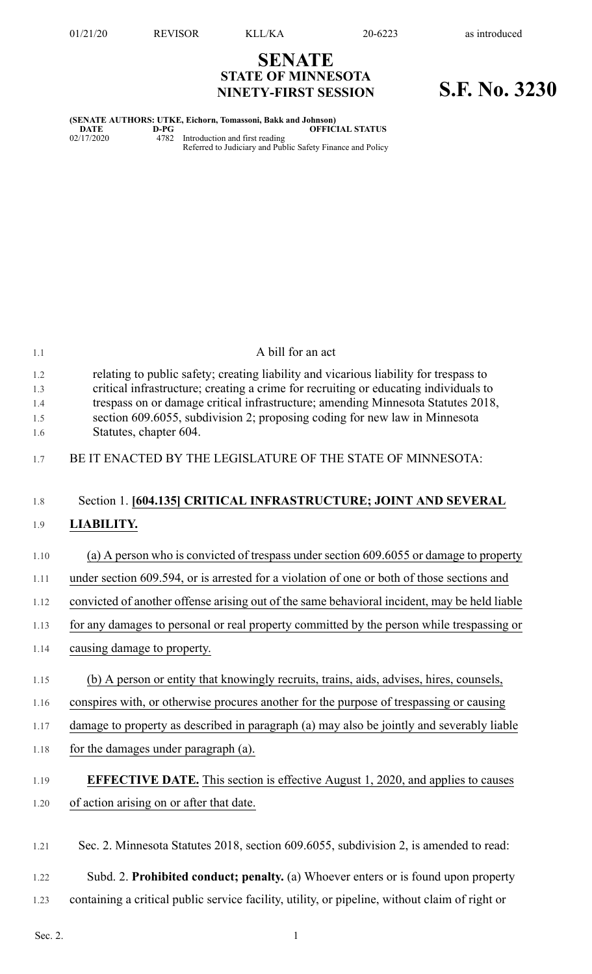## **SENATE STATE OF MINNESOTA NINETY-FIRST SESSION S.F. No. 3230**

**(SENATE AUTHORS: UTKE, Eichorn, Tomassoni, Bakk and Johnson) DATE D-PG OFFICIAL STATUS** 02/17/2020 4782 Introduction and first reading Referred to Judiciary and Public Safety Finance and Policy

| 1.1                             | A bill for an act                                                                                                                                                                                                                                                                                                                                                         |
|---------------------------------|---------------------------------------------------------------------------------------------------------------------------------------------------------------------------------------------------------------------------------------------------------------------------------------------------------------------------------------------------------------------------|
| 1.2<br>1.3<br>1.4<br>1.5<br>1.6 | relating to public safety; creating liability and vicarious liability for trespass to<br>critical infrastructure; creating a crime for recruiting or educating individuals to<br>trespass on or damage critical infrastructure; amending Minnesota Statutes 2018,<br>section 609.6055, subdivision 2; proposing coding for new law in Minnesota<br>Statutes, chapter 604. |
| 1.7                             | BE IT ENACTED BY THE LEGISLATURE OF THE STATE OF MINNESOTA:                                                                                                                                                                                                                                                                                                               |
| 1.8                             | Section 1. [604.135] CRITICAL INFRASTRUCTURE; JOINT AND SEVERAL                                                                                                                                                                                                                                                                                                           |
| 1.9                             | <b>LIABILITY.</b>                                                                                                                                                                                                                                                                                                                                                         |
| 1.10                            | (a) A person who is convicted of trespass under section 609.6055 or damage to property                                                                                                                                                                                                                                                                                    |
| 1.11                            | under section 609.594, or is arrested for a violation of one or both of those sections and                                                                                                                                                                                                                                                                                |
| 1.12                            | convicted of another offense arising out of the same behavioral incident, may be held liable                                                                                                                                                                                                                                                                              |
| 1.13                            | for any damages to personal or real property committed by the person while trespassing or                                                                                                                                                                                                                                                                                 |
| 1.14                            | causing damage to property.                                                                                                                                                                                                                                                                                                                                               |
| 1.15                            | (b) A person or entity that knowingly recruits, trains, aids, advises, hires, counsels,                                                                                                                                                                                                                                                                                   |
| 1.16                            | conspires with, or otherwise procures another for the purpose of trespassing or causing                                                                                                                                                                                                                                                                                   |
| 1.17                            | damage to property as described in paragraph (a) may also be jointly and severably liable                                                                                                                                                                                                                                                                                 |
| 1.18                            | for the damages under paragraph (a).                                                                                                                                                                                                                                                                                                                                      |
| 1.19                            | EFFECTIVE DATE. This section is effective August 1, 2020, and applies to causes                                                                                                                                                                                                                                                                                           |
| 1.20                            | of action arising on or after that date.                                                                                                                                                                                                                                                                                                                                  |
| 1.21                            | Sec. 2. Minnesota Statutes 2018, section 609.6055, subdivision 2, is amended to read:                                                                                                                                                                                                                                                                                     |
| 1.22                            | Subd. 2. Prohibited conduct; penalty. (a) Whoever enters or is found upon property                                                                                                                                                                                                                                                                                        |
| 1.23                            | containing a critical public service facility, utility, or pipeline, without claim of right or                                                                                                                                                                                                                                                                            |

Sec. 2.  $1$